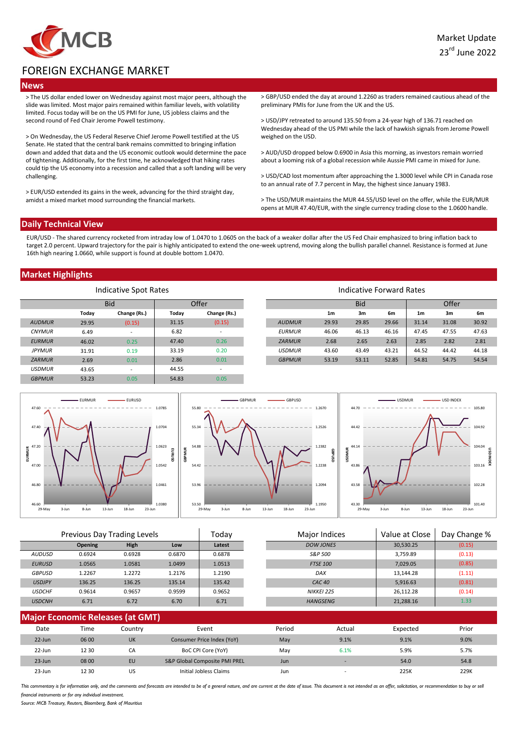

# FOREIGN EXCHANGE MARKET

## **News**

> The US dollar ended lower on Wednesday against most major peers, although the slide was limited. Most major pairs remained within familiar levels, with volatility limited. Focus today will be on the US PMI for June, US jobless claims and the second round of Fed Chair Jerome Powell testimony.

> On Wednesday, the US Federal Reserve Chief Jerome Powell testified at the US Senate. He stated that the central bank remains committed to bringing inflation down and added that data and the US economic outlook would determine the pace of tightening. Additionally, for the first time, he acknowledged that hiking rates could tip the US economy into a recession and called that a soft landing will be very challenging.

> EUR/USD extended its gains in the week, advancing for the third straight day, amidst a mixed market mood surrounding the financial markets.

> GBP/USD ended the day at around 1.2260 as traders remained cautious ahead of the preliminary PMIs for June from the UK and the US.

> USD/JPY retreated to around 135.50 from a 24-year high of 136.71 reached on Wednesday ahead of the US PMI while the lack of hawkish signals from Jerome Powell weighed on the USD.

> AUD/USD dropped below 0.6900 in Asia this morning, as investors remain worried about a looming risk of a global recession while Aussie PMI came in mixed for June.

> USD/CAD lost momentum after approaching the 1.3000 level while CPI in Canada rose to an annual rate of 7.7 percent in May, the highest since January 1983.

> The USD/MUR maintains the MUR 44.55/USD level on the offer, while the EUR/MUR opens at MUR 47.40/EUR, with the single currency trading close to the 1.0600 handle.

#### **Daily Technical View**

EUR/USD - The shared currency rocketed from intraday low of 1.0470 to 1.0605 on the back of a weaker dollar after the US Fed Chair emphasized to bring inflation back to target 2.0 percent. Upward trajectory for the pair is highly anticipated to extend the one-week uptrend, moving along the bullish parallel channel. Resistance is formed at June 16th high nearing 1.0660, while support is found at double bottom 1.0470.

## **Market Highlights**

| Indicative Spot Rates |       |                          |       |                          | Indicative Forward Rates |                |       |       |                |       |       |
|-----------------------|-------|--------------------------|-------|--------------------------|--------------------------|----------------|-------|-------|----------------|-------|-------|
| <b>Bid</b>            |       | Offer                    |       |                          | <b>Bid</b>               |                |       | Offer |                |       |       |
|                       | Today | Change (Rs.)             | Today | Change (Rs.)             |                          | 1 <sub>m</sub> | 3m    | 6m    | 1 <sub>m</sub> | 3m    | 6m    |
| <b>AUDMUR</b>         | 29.95 | (0.15)                   | 31.15 | (0.15)                   | <b>AUDMUR</b>            | 29.93          | 29.85 | 29.66 | 31.14          | 31.08 | 30.92 |
| <b>CNYMUR</b>         | 6.49  | $\overline{\phantom{a}}$ | 6.82  | $\overline{\phantom{0}}$ | <b>EURMUR</b>            | 46.06          | 46.13 | 46.16 | 47.45          | 47.55 | 47.63 |
| <b>EURMUR</b>         | 46.02 | 0.25                     | 47.40 | 0.26                     | <b>ZARMUR</b>            | 2.68           | 2.65  | 2.63  | 2.85           | 2.82  | 2.81  |
| <b>JPYMUR</b>         | 31.91 | 0.19                     | 33.19 | 0.20                     | <b>USDMUR</b>            | 43.60          | 43.49 | 43.21 | 44.52          | 44.42 | 44.18 |
| <b>ZARMUR</b>         | 2.69  | 0.01                     | 2.86  | 0.01                     | <b>GBPMUR</b>            | 53.19          | 53.11 | 52.85 | 54.81          | 54.75 | 54.54 |
| <b>USDMUR</b>         | 43.65 | $\overline{\phantom{a}}$ | 44.55 | $\overline{\phantom{a}}$ |                          |                |       |       |                |       |       |
| <b>GBPMUR</b>         | 53.23 | 0.05                     | 54.83 | 0.05                     |                          |                |       |       |                |       |       |



| Previous Day Trading Levels |                |             | Todav  | <b>Major Indices</b> | Value at Close    | Day Change % |        |
|-----------------------------|----------------|-------------|--------|----------------------|-------------------|--------------|--------|
|                             | <b>Opening</b> | <b>High</b> | Low    | Latest               | DOW JONES         | 30,530.25    | (0.15) |
| AUDUSD                      | 0.6924         | 0.6928      | 0.6870 | 0.6878               | S&P 500           | 3,759.89     | (0.13) |
| <b>EURUSD</b>               | 1.0565         | 1.0581      | 1.0499 | 1.0513               | <b>FTSE 100</b>   | 7,029.05     | (0.85) |
| <b>GBPUSD</b>               | 1.2267         | 1.2272      | 1.2176 | 1.2190               | DAX               | 13.144.28    | (1.11) |
| <b>USDJPY</b>               | 136.25         | 136.25      | 135.14 | 135.42               | CAC <sub>40</sub> | 5.916.63     | (0.81) |
| <b>USDCHF</b>               | 0.9614         | 0.9657      | 0.9599 | 0.9652               | NIKKEI 225        | 26.112.28    | (0.14) |
| <b>USDCNH</b>               | 6.71           | 6.72        | 6.70   | 6.71                 | <b>HANGSENG</b>   | 21,288.16    | 1.33   |
|                             |                |             |        |                      |                   |              |        |

| <b>Major Economic Releases (at GMT)</b> |       |         |                               |        |                          |          |       |  |  |
|-----------------------------------------|-------|---------|-------------------------------|--------|--------------------------|----------|-------|--|--|
| Date                                    | Time  | Countrv | Event                         | Period | Actual                   | Expected | Prior |  |  |
| $22$ -Jun                               | 06 00 | UK      | Consumer Price Index (YoY)    | May    | 9.1%                     | 9.1%     | 9.0%  |  |  |
| 22-Jun                                  | 12 30 | СA      | BoC CPI Core (YoY)            | May    | 6.1%                     | 5.9%     | 5.7%  |  |  |
| $23 - Jun$                              | 08 00 | EU      | S&P Global Composite PMI PREL | Jun    | $\overline{\phantom{a}}$ | 54.0     | 54.8  |  |  |
| 23-Jun                                  | 12 30 | US      | Initial Jobless Claims        | Jun    |                          | 225K     | 229K  |  |  |

This commentary is for information only, and the comments and forecasts are intended to be of a general nature, and are current at the date of issue. This document is not intended as an offer, solicitation, or recommendati financial instruments or for any individual investment

*Source: MCB Treasury, Reuters, Bloomberg, Bank of Mauritius*